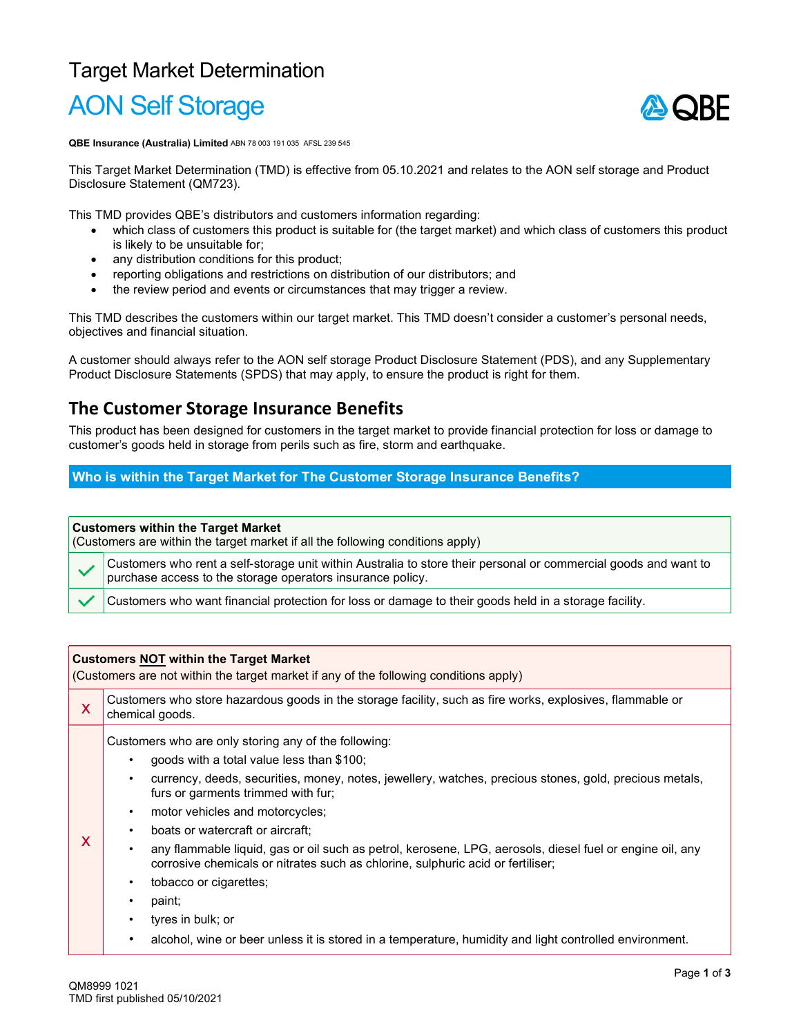## Target Market Determination AON Self Storage

# ASORF

QBE Insurance (Australia) Limited ABN 78 003 191 035 AFSL 239 545

This Target Market Determination (TMD) is effective from 05.10.2021 and relates to the AON self storage and Product Disclosure Statement (QM723).

This TMD provides QBE's distributors and customers information regarding:

- which class of customers this product is suitable for (the target market) and which class of customers this product is likely to be unsuitable for;
- any distribution conditions for this product;
- reporting obligations and restrictions on distribution of our distributors; and
- the review period and events or circumstances that may trigger a review.

This TMD describes the customers within our target market. This TMD doesn't consider a customer's personal needs, objectives and financial situation.

A customer should always refer to the AON self storage Product Disclosure Statement (PDS), and any Supplementary Product Disclosure Statements (SPDS) that may apply, to ensure the product is right for them.

### The Customer Storage Insurance Benefits

This product has been designed for customers in the target market to provide financial protection for loss or damage to customer's goods held in storage from perils such as fire, storm and earthquake.

Who is within the Target Market for The Customer Storage Insurance Benefits?

#### Customers within the Target Market

(Customers are within the target market if all the following conditions apply)

Customers who rent a self-storage unit within Australia to store their personal or commercial goods and want to purchase access to the storage operators insurance policy.

Customers who want financial protection for loss or damage to their goods held in a storage facility.

#### Customers NOT within the Target Market

(Customers are not within the target market if any of the following conditions apply)

| X | Customers who store hazardous goods in the storage facility, such as fire works, explosives, flammable or<br>chemical goods.                                                                                                                                                                                                                                                                                                                                                                                                                                                                                                                                                                                                                                                  |  |
|---|-------------------------------------------------------------------------------------------------------------------------------------------------------------------------------------------------------------------------------------------------------------------------------------------------------------------------------------------------------------------------------------------------------------------------------------------------------------------------------------------------------------------------------------------------------------------------------------------------------------------------------------------------------------------------------------------------------------------------------------------------------------------------------|--|
| X | Customers who are only storing any of the following:<br>goods with a total value less than \$100;<br>currency, deeds, securities, money, notes, jewellery, watches, precious stones, gold, precious metals,<br>$\bullet$<br>furs or garments trimmed with fur;<br>motor vehicles and motorcycles;<br>$\bullet$<br>boats or watercraft or aircraft:<br>$\bullet$<br>any flammable liquid, gas or oil such as petrol, kerosene, LPG, aerosols, diesel fuel or engine oil, any<br>corrosive chemicals or nitrates such as chlorine, sulphuric acid or fertiliser;<br>tobacco or cigarettes;<br>$\bullet$<br>paint;<br>٠<br>tyres in bulk; or<br>$\bullet$<br>alcohol, wine or beer unless it is stored in a temperature, humidity and light controlled environment.<br>$\bullet$ |  |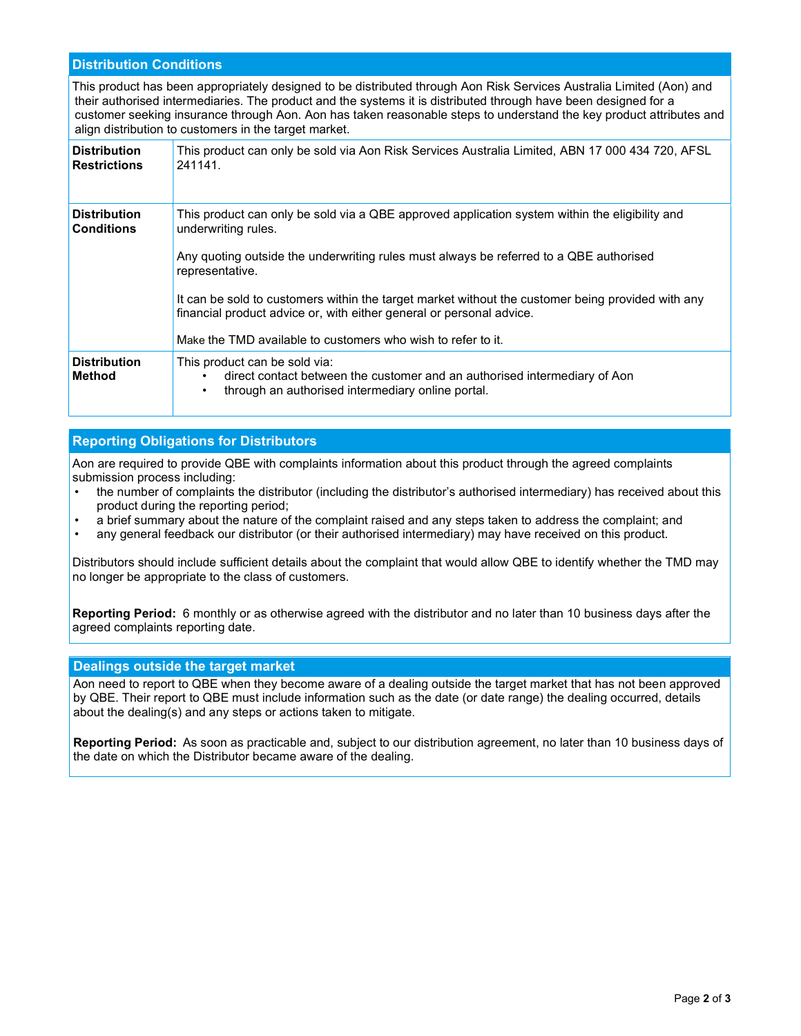#### Distribution Conditions

This product has been appropriately designed to be distributed through Aon Risk Services Australia Limited (Aon) and their authorised intermediaries. The product and the systems it is distributed through have been designed for a customer seeking insurance through Aon. Aon has taken reasonable steps to understand the key product attributes and align distribution to customers in the target market.

| <b>Distribution</b><br><b>Restrictions</b> | This product can only be sold via Aon Risk Services Australia Limited, ABN 17 000 434 720, AFSL<br>241141.                                                                                                                                                                                                                                                                                                                                                                      |
|--------------------------------------------|---------------------------------------------------------------------------------------------------------------------------------------------------------------------------------------------------------------------------------------------------------------------------------------------------------------------------------------------------------------------------------------------------------------------------------------------------------------------------------|
| <b>Distribution</b><br><b>Conditions</b>   | This product can only be sold via a QBE approved application system within the eligibility and<br>underwriting rules.<br>Any quoting outside the underwriting rules must always be referred to a QBE authorised<br>representative.<br>It can be sold to customers within the target market without the customer being provided with any<br>financial product advice or, with either general or personal advice.<br>Make the TMD available to customers who wish to refer to it. |
| <b>Distribution</b><br><b>Method</b>       | This product can be sold via:<br>direct contact between the customer and an authorised intermediary of Aon<br>through an authorised intermediary online portal.<br>$\bullet$                                                                                                                                                                                                                                                                                                    |

#### Reporting Obligations for Distributors

Aon are required to provide QBE with complaints information about this product through the agreed complaints submission process including:

- the number of complaints the distributor (including the distributor's authorised intermediary) has received about this product during the reporting period;
- a brief summary about the nature of the complaint raised and any steps taken to address the complaint; and
- any general feedback our distributor (or their authorised intermediary) may have received on this product.

Distributors should include sufficient details about the complaint that would allow QBE to identify whether the TMD may no longer be appropriate to the class of customers.

Reporting Period: 6 monthly or as otherwise agreed with the distributor and no later than 10 business days after the agreed complaints reporting date.

#### Dealings outside the target market

Aon need to report to QBE when they become aware of a dealing outside the target market that has not been approved by QBE. Their report to QBE must include information such as the date (or date range) the dealing occurred, details about the dealing(s) and any steps or actions taken to mitigate.

Reporting Period:  As soon as practicable and, subject to our distribution agreement, no later than 10 business days of the date on which the Distributor became aware of the dealing.